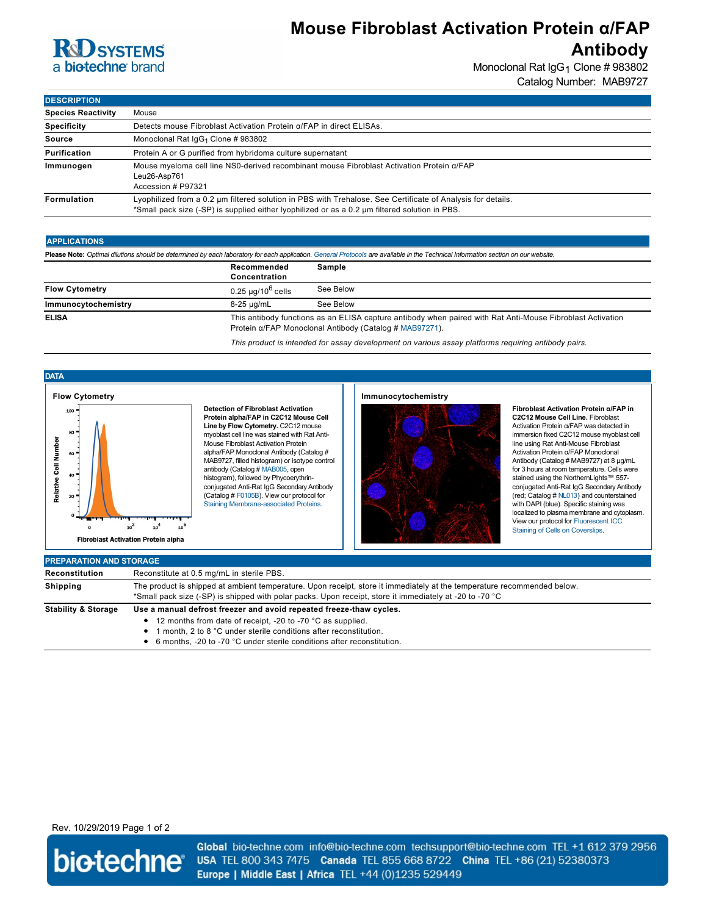## **R&D SYSTEMS** a biotechne brand

## **Mouse Fibroblast Activation Protein α/FAP Antibody**

Monoclonal Rat IgG<sub>1</sub> Clone # 983802

Catalog Number: MAB9727

| <b>DESCRIPTION</b>        |                                                                                                                                                                                                               |
|---------------------------|---------------------------------------------------------------------------------------------------------------------------------------------------------------------------------------------------------------|
| <b>Species Reactivity</b> | Mouse                                                                                                                                                                                                         |
| <b>Specificity</b>        | Detects mouse Fibroblast Activation Protein $\alpha$ /FAP in direct ELISAs.                                                                                                                                   |
| Source                    | Monoclonal Rat IgG <sub>1</sub> Clone # 983802                                                                                                                                                                |
| Purification              | Protein A or G purified from hybridoma culture supernatant                                                                                                                                                    |
| Immunogen                 | Mouse myeloma cell line NS0-derived recombinant mouse Fibroblast Activation Protein $\alpha$ /FAP<br>Leu26-Asp761<br>Accession # P97321                                                                       |
| Formulation               | Lyophilized from a 0.2 um filtered solution in PBS with Trehalose. See Certificate of Analysis for details.<br>*Small pack size (-SP) is supplied either lyophilized or as a 0.2 um filtered solution in PBS. |

### **APPLICATIONS**

**Please Note:** *Optimal dilutions should be determined by each laboratory for each application. [General Protocols](http://www.rndsystems.com/resources/protocols-troubleshooting-guides) are available in the Technical Information section on our website.*

|                       | Recommended<br>Concentration | Sample                                                                                                                                                                |
|-----------------------|------------------------------|-----------------------------------------------------------------------------------------------------------------------------------------------------------------------|
| <b>Flow Cytometry</b> | $0.25 \mu q/10^6$ cells      | See Below                                                                                                                                                             |
| Immunocytochemistry   | 8-25 µg/mL                   | See Below                                                                                                                                                             |
| <b>ELISA</b>          |                              | This antibody functions as an ELISA capture antibody when paired with Rat Anti-Mouse Fibroblast Activation<br>Protein α/FAP Monoclonal Antibody (Catalog # MAB97271). |

*This product is intended for assay development on various assay platforms requiring antibody pairs.*



**Detection of Fibroblast Activation Protein alpha/FAP in C2C12 Mouse Cell Line by Flow Cytometry.** C2C12 mouse myoblast cell line was stained with Rat Anti-Mouse Fibroblast Activation Protein alpha/FAP Monoclonal Antibody (Catalog # MAB9727, filled histogram) or isotype control antibody (Catalog # [MAB005](http://www.rndsystems.com/product_results.aspx?k=MAB005), open histogram), followed by Phycoerythrinconjugated Anti-Rat IgG Secondary Antibody (Catalog # [F0105B](http://www.rndsystems.com/product_results.aspx?k=F0105B)). View our protocol for [Staining Membrane-associated Proteins.](http://www.rndsystems.com/literature_flow_cytometry_staining_membrane.aspx)





**Fibroblast Activation Protein α/FAP in C2C12 Mouse Cell Line.** Fibroblast Activation Protein α/FAP was detected in immersion fixed C2C12 mouse myoblast cell line using Rat Anti-Mouse Fibroblast Activation Protein α/FAP Monoclonal Antibody (Catalog # MAB9727) at 8 µg/mL for 3 hours at room temperature. Cells were stained using the NorthernLights™ 557conjugated Anti-Rat IgG Secondary Antibody (red; Catalog # [NL013\)](http://www.rndsystems.com/product_results.aspx?k=NL013) and counterstained with DAPI (blue). Specific staining was localized to plasma membrane and cytoplasm. [View our protocol for Fluorescent ICC](http://www.rndsystems.com/ihc_detail_objectname_fluorescent_icc_coverslips.aspx) Staining of Cells on Coverslips.

| <b>PREPARATION AND STORAGE</b> |                                                                                                                                                                                                                                                                                    |
|--------------------------------|------------------------------------------------------------------------------------------------------------------------------------------------------------------------------------------------------------------------------------------------------------------------------------|
| Reconstitution                 | Reconstitute at 0.5 mg/mL in sterile PBS.                                                                                                                                                                                                                                          |
| <b>Shipping</b>                | The product is shipped at ambient temperature. Upon receipt, store it immediately at the temperature recommended below.<br>*Small pack size (-SP) is shipped with polar packs. Upon receipt, store it immediately at -20 to -70 °C                                                 |
| <b>Stability &amp; Storage</b> | Use a manual defrost freezer and avoid repeated freeze-thaw cycles.<br>• 12 months from date of receipt, -20 to -70 °C as supplied.<br>month, 2 to 8 °C under sterile conditions after reconstitution.<br>• 6 months. -20 to -70 °C under sterile conditions after reconstitution. |

Rev. 10/29/2019 Page 1 of 2



Global bio-techne.com info@bio-techne.com techsupport@bio-techne.com TEL +1 612 379 2956 USA TEL 800 343 7475 Canada TEL 855 668 8722 China TEL +86 (21) 52380373 Europe | Middle East | Africa TEL +44 (0)1235 529449